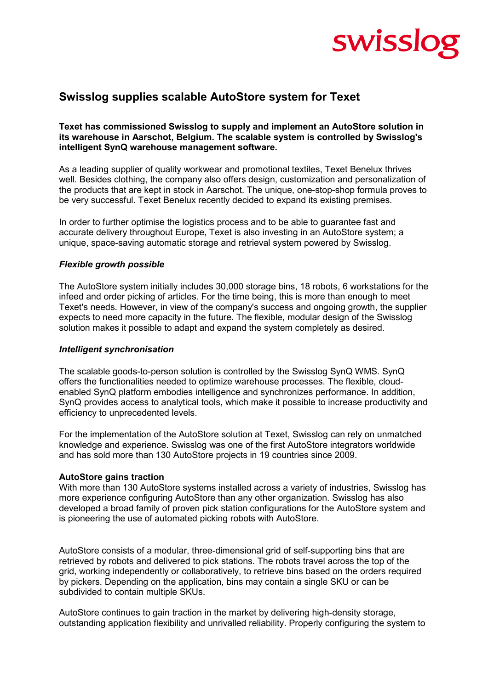# swisslog

### **Swisslog supplies scalable AutoStore system for Texet**

#### **Texet has commissioned Swisslog to supply and implement an AutoStore solution in its warehouse in Aarschot, Belgium. The scalable system is controlled by Swisslog's intelligent SynQ warehouse management software.**

As a leading supplier of quality workwear and promotional textiles, Texet Benelux thrives well. Besides clothing, the company also offers design, customization and personalization of the products that are kept in stock in Aarschot. The unique, one-stop-shop formula proves to be very successful. Texet Benelux recently decided to expand its existing premises.

In order to further optimise the logistics process and to be able to guarantee fast and accurate delivery throughout Europe, Texet is also investing in an AutoStore system; a unique, space-saving automatic storage and retrieval system powered by Swisslog.

#### *Flexible growth possible*

The AutoStore system initially includes 30,000 storage bins, 18 robots, 6 workstations for the infeed and order picking of articles. For the time being, this is more than enough to meet Texet's needs. However, in view of the company's success and ongoing growth, the supplier expects to need more capacity in the future. The flexible, modular design of the Swisslog solution makes it possible to adapt and expand the system completely as desired.

#### *Intelligent synchronisation*

The scalable goods-to-person solution is controlled by the Swisslog SynQ WMS. SynQ offers the functionalities needed to optimize warehouse processes. The flexible, cloudenabled SynQ platform embodies intelligence and synchronizes performance. In addition, SynQ provides access to analytical tools, which make it possible to increase productivity and efficiency to unprecedented levels.

For the implementation of the AutoStore solution at Texet, Swisslog can rely on unmatched knowledge and experience. Swisslog was one of the first AutoStore integrators worldwide and has sold more than 130 AutoStore projects in 19 countries since 2009.

#### **AutoStore gains traction**

With more than 130 AutoStore systems installed across a variety of industries, Swisslog has more experience configuring AutoStore than any other organization. Swisslog has also developed a broad family of proven pick station configurations for the AutoStore system and is pioneering the use of automated picking robots with AutoStore.

AutoStore consists of a modular, three-dimensional grid of self-supporting bins that are retrieved by robots and delivered to pick stations. The robots travel across the top of the grid, working independently or collaboratively, to retrieve bins based on the orders required by pickers. Depending on the application, bins may contain a single SKU or can be subdivided to contain multiple SKUs.

AutoStore continues to gain traction in the market by delivering high-density storage, outstanding application flexibility and unrivalled reliability. Properly configuring the system to